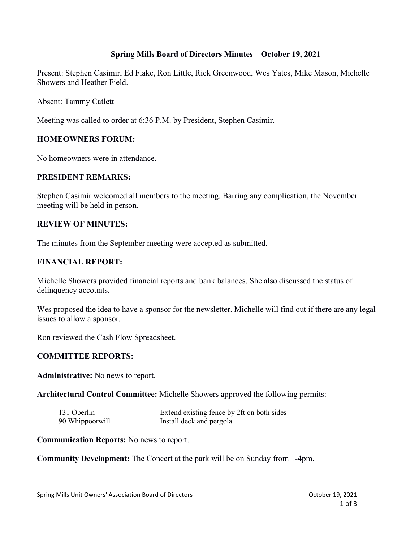# **Spring Mills Board of Directors Minutes – October 19, 2021**

Present: Stephen Casimir, Ed Flake, Ron Little, Rick Greenwood, Wes Yates, Mike Mason, Michelle Showers and Heather Field.

Absent: Tammy Catlett

Meeting was called to order at 6:36 P.M. by President, Stephen Casimir.

## **HOMEOWNERS FORUM:**

No homeowners were in attendance.

## **PRESIDENT REMARKS:**

Stephen Casimir welcomed all members to the meeting. Barring any complication, the November meeting will be held in person.

#### **REVIEW OF MINUTES:**

The minutes from the September meeting were accepted as submitted.

#### **FINANCIAL REPORT:**

Michelle Showers provided financial reports and bank balances. She also discussed the status of delinquency accounts.

Wes proposed the idea to have a sponsor for the newsletter. Michelle will find out if there are any legal issues to allow a sponsor.

Ron reviewed the Cash Flow Spreadsheet.

#### **COMMITTEE REPORTS:**

**Administrative:** No news to report.

**Architectural Control Committee:** Michelle Showers approved the following permits:

| 131 Oberlin     | Extend existing fence by 2ft on both sides |
|-----------------|--------------------------------------------|
| 90 Whippoorwill | Install deck and pergola                   |

**Communication Reports:** No news to report.

**Community Development:** The Concert at the park will be on Sunday from 1-4pm.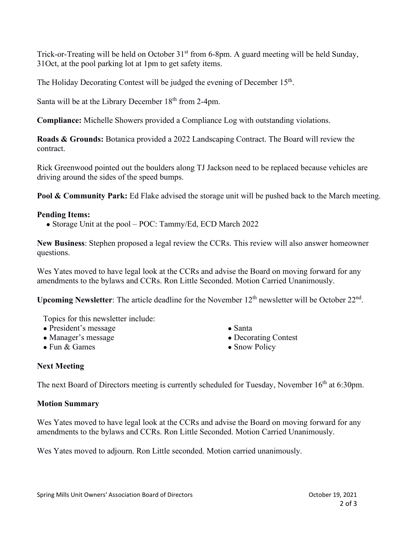Trick-or-Treating will be held on October 31<sup>st</sup> from 6-8pm. A guard meeting will be held Sunday, 31Oct, at the pool parking lot at 1pm to get safety items.

The Holiday Decorating Contest will be judged the evening of December 15<sup>th</sup>.

Santa will be at the Library December 18<sup>th</sup> from 2-4pm.

**Compliance:** Michelle Showers provided a Compliance Log with outstanding violations.

**Roads & Grounds:** Botanica provided a 2022 Landscaping Contract. The Board will review the contract.

Rick Greenwood pointed out the boulders along TJ Jackson need to be replaced because vehicles are driving around the sides of the speed bumps.

**Pool & Community Park:** Ed Flake advised the storage unit will be pushed back to the March meeting.

## **Pending Items:**

• Storage Unit at the pool – POC: Tammy/Ed, ECD March 2022

**New Business**: Stephen proposed a legal review the CCRs. This review will also answer homeowner questions.

Wes Yates moved to have legal look at the CCRs and advise the Board on moving forward for any amendments to the bylaws and CCRs. Ron Little Seconded. Motion Carried Unanimously.

**Upcoming Newsletter:** The article deadline for the November 12<sup>th</sup> newsletter will be October 22<sup>nd</sup>.

Topics for this newsletter include:

- President's message
- Manager's message
- Fun & Games
- Santa
- Decorating Contest
- Snow Policy

## **Next Meeting**

The next Board of Directors meeting is currently scheduled for Tuesday, November 16<sup>th</sup> at 6:30pm.

## **Motion Summary**

Wes Yates moved to have legal look at the CCRs and advise the Board on moving forward for any amendments to the bylaws and CCRs. Ron Little Seconded. Motion Carried Unanimously.

Wes Yates moved to adjourn. Ron Little seconded. Motion carried unanimously.